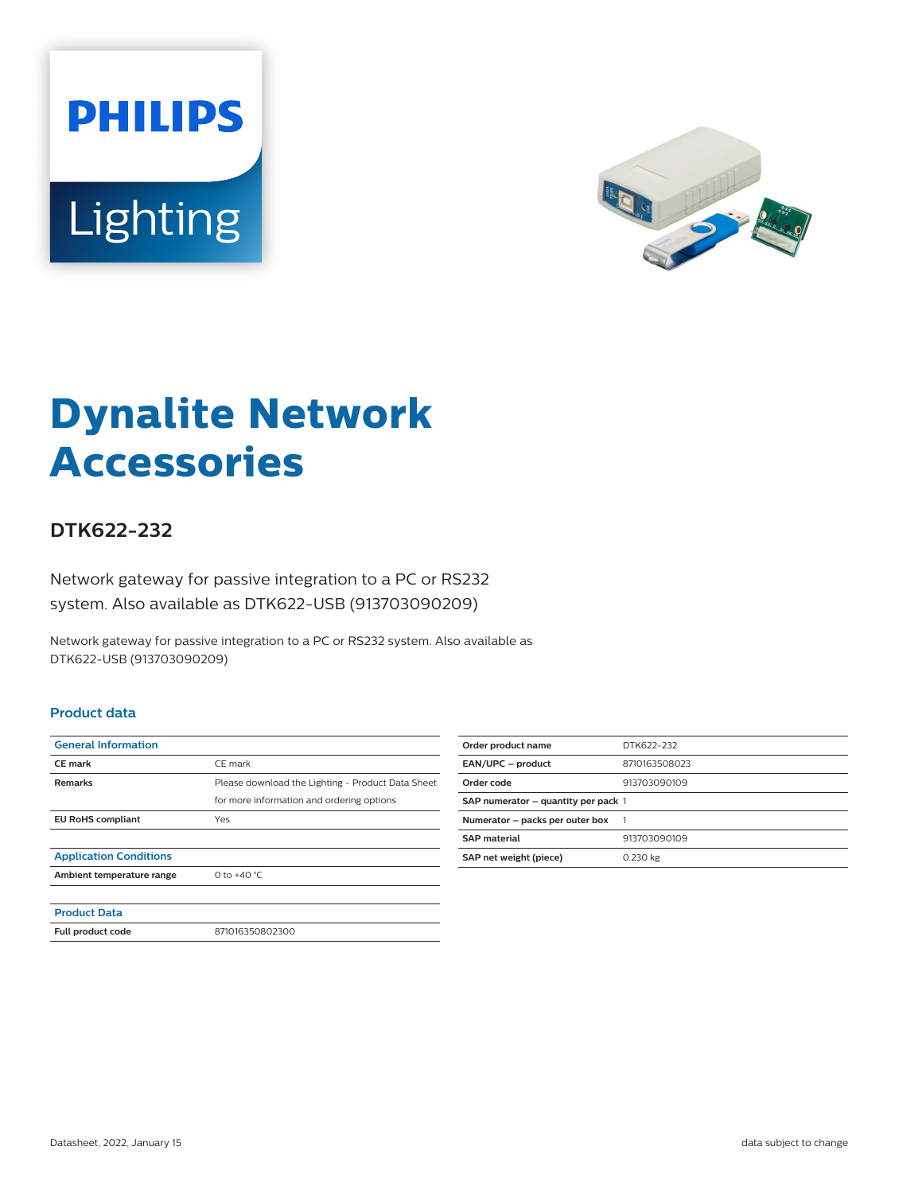



# **Dynalite Network Accessories**

## **DTK622-232**

Network gateway for passive integration to a PC or RS232 system. Also available as DTK622-USB (913703090209)

Network gateway for passive integration to a PC or RS232 system. Also available as DTK622-USB (913703090209)

#### **Product data**

| <b>General Information</b>    |                                                   |
|-------------------------------|---------------------------------------------------|
| <b>CE</b> mark                | CE mark                                           |
| <b>Remarks</b>                | Please download the Lighting - Product Data Sheet |
|                               | for more information and ordering options         |
| <b>EU RoHS compliant</b>      | Yes                                               |
|                               |                                                   |
| <b>Application Conditions</b> |                                                   |
| Ambient temperature range     | 0 to $+40 °C$                                     |
|                               |                                                   |
| <b>Product Data</b>           |                                                   |
| Full product code             | 871016350802300                                   |

| Order product name                  | DTK622-232    |
|-------------------------------------|---------------|
| EAN/UPC - product                   | 8710163508023 |
| Order code                          | 913703090109  |
| SAP numerator - quantity per pack 1 |               |
| Numerator - packs per outer box     | - 1           |
| <b>SAP material</b>                 | 913703090109  |
| SAP net weight (piece)              | 0.230 kg      |
|                                     |               |